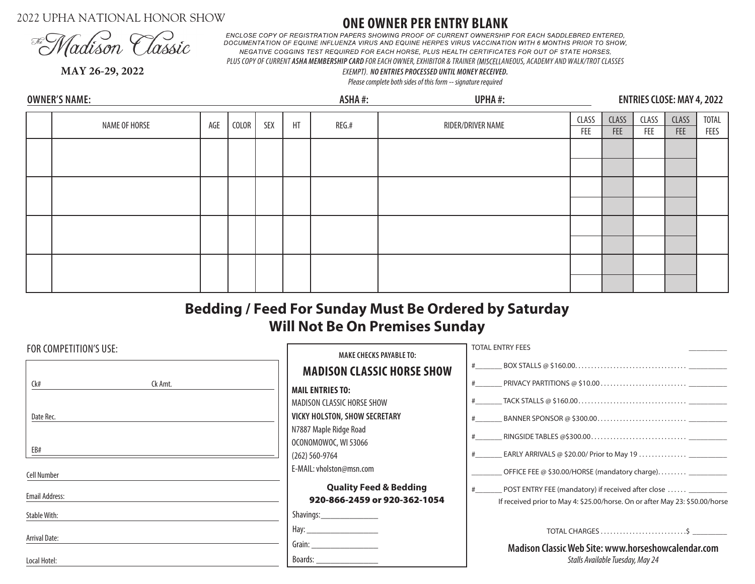2022 UPHA NATIONAL HONOR SHOW



**ONE OWNER PER ENTRY BLANK**<br>ENCLOSE COPY OF REGISTRATION PAPERS SHOWING PROOF OF CURRENT OWNERSHIP FOR EACH SADDLEBRED ENTERED. DOCUMENTATION OF EQUINE INFLUENZA VIRUS AND EQUINE HERPES VIRUS VACCINATION WITH 6 MONTHS PRIOR TO SHOW, **NEGATIVE COGGINS TEST REQUIRED FOR EACH HORSE, PLUS HEALTH CERTIFICATES FOR OUT OF STATE HORSES,** PLUS COPY OF CURRENT ASHA MEMBERSHIP CARD FOR EACH OWNER, EXHIBITOR & TRAINER (MISCELLANEOUS, ACADEMY AND WALK/TROT CLASSES

**MAY 26-29, 2022**

**OWNER'S NAME:**

## *EX NO ENTRIES PROCESSED UNTIL MONEY RECEIVED.*

*Please complete both sides of this form -- signature required*

**ASHA #: UPHA #: ENTRIES CLOSE: MAY 4, 2022**

| NAME OF HORSE | AGE | COLOR | SEX | HT | REG.# | RIDER/DRIVER NAME | CLASS<br>FEE | CLASS<br>FEE | CLASS  <br>FEE | CLASS<br>FEE | TOTAL<br>FEES |
|---------------|-----|-------|-----|----|-------|-------------------|--------------|--------------|----------------|--------------|---------------|
|               |     |       |     |    |       |                   |              |              |                |              |               |
|               |     |       |     |    |       |                   |              |              |                |              |               |
|               |     |       |     |    |       |                   |              |              |                |              |               |
|               |     |       |     |    |       |                   |              |              |                |              |               |
|               |     |       |     |    |       |                   |              |              |                |              |               |
|               |     |       |     |    |       |                   |              |              |                |              |               |
|               |     |       |     |    |       |                   |              |              |                |              |               |
|               |     |       |     |    |       |                   |              |              |                |              |               |

# **Bedding / Feed For Sunday Must Be Ordered by Saturday Will Not Be On Premises Sunday**

| FOR COMPETITION'S USE: | <b>MAKE CHECKS PAYABLE TO:</b>                                    | <b>TOTAL ENTRY FEES</b>                                                                                                            |  |  |  |
|------------------------|-------------------------------------------------------------------|------------------------------------------------------------------------------------------------------------------------------------|--|--|--|
|                        | <b>MADISON CLASSIC HORSE SHOW</b>                                 |                                                                                                                                    |  |  |  |
| Ck#<br>Ck Amt.         | <b>MAIL ENTRIES TO:</b>                                           | PRIVACY PARTITIONS @ \$10.00 $\dots\dots\dots\dots\dots\dots\dots\dots$                                                            |  |  |  |
|                        | MADISON CLASSIC HORSE SHOW                                        |                                                                                                                                    |  |  |  |
| Date Rec.              | <b>VICKY HOLSTON, SHOW SECRETARY</b>                              |                                                                                                                                    |  |  |  |
|                        | N7887 Maple Ridge Road<br>OCONOMOWOC, WI 53066                    |                                                                                                                                    |  |  |  |
| EB#                    | $(262) 560 - 9764$                                                |                                                                                                                                    |  |  |  |
| <b>Cell Number</b>     | E-MAIL: vholston@msn.com                                          | OFFICE FEE @ \$30.00/HORSE (mandatory charge) ___________                                                                          |  |  |  |
| Email Address:         | <b>Quality Feed &amp; Bedding</b><br>920-866-2459 or 920-362-1054 | POST ENTRY FEE (mandatory) if received after close<br>If received prior to May 4: \$25.00/horse. On or after May 23: \$50.00/horse |  |  |  |
| <b>Stable With:</b>    |                                                                   |                                                                                                                                    |  |  |  |
|                        |                                                                   | TOTAL CHARGES $\dots\dots\dots\dots\dots\dots\dots\dots$                                                                           |  |  |  |
| Arrival Date:          |                                                                   | Madison Classic Web Site: www.horseshowcalendar.com                                                                                |  |  |  |
| Local Hotel:           | Boards: _____________________                                     | Stalls Available Tuesday, May 24                                                                                                   |  |  |  |